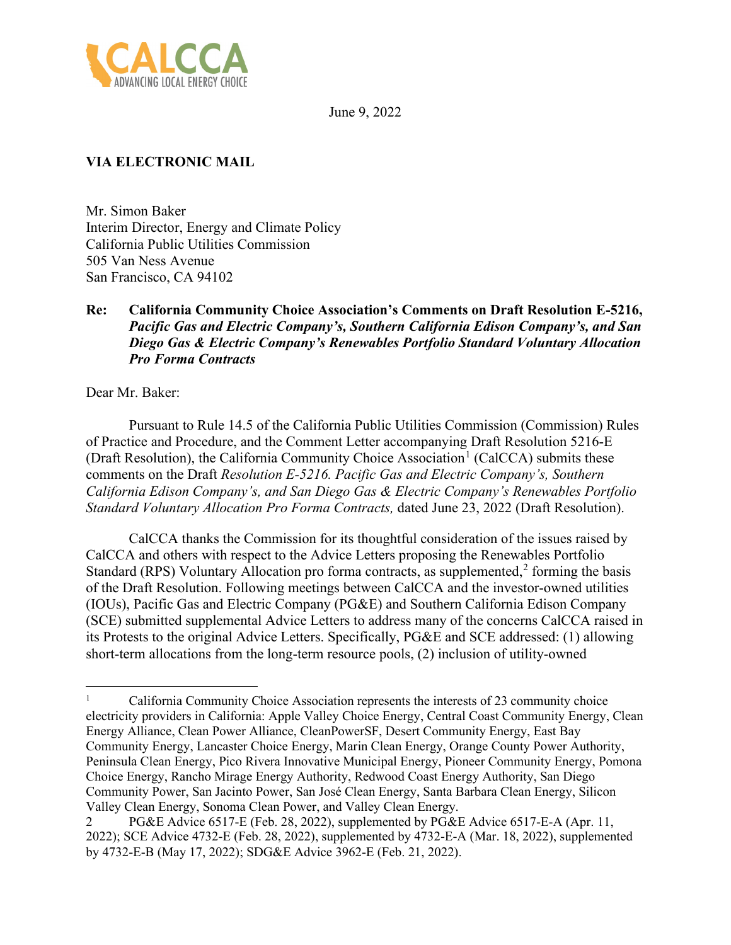

June 9, 2022

## **VIA ELECTRONIC MAIL**

Mr. Simon Baker Interim Director, Energy and Climate Policy California Public Utilities Commission 505 Van Ness Avenue San Francisco, CA 94102

## **Re: California Community Choice Association's Comments on Draft Resolution E-5216,**  *Pacific Gas and Electric Company's, Southern California Edison Company's, and San Diego Gas & Electric Company's Renewables Portfolio Standard Voluntary Allocation Pro Forma Contracts*

Dear Mr. Baker:

Pursuant to Rule 14.5 of the California Public Utilities Commission (Commission) Rules of Practice and Procedure, and the Comment Letter accompanying Draft Resolution 5216-E (Draft Resolution), the California Community Choice Association<sup>[1](#page-0-0)</sup> (CalCCA) submits these comments on the Draft *Resolution E-5216. Pacific Gas and Electric Company's, Southern California Edison Company's, and San Diego Gas & Electric Company's Renewables Portfolio Standard Voluntary Allocation Pro Forma Contracts,* dated June 23, 2022 (Draft Resolution).

CalCCA thanks the Commission for its thoughtful consideration of the issues raised by CalCCA and others with respect to the Advice Letters proposing the Renewables Portfolio Standard (RPS) Voluntary Allocation pro forma contracts, as supplemented, $2$  forming the basis of the Draft Resolution. Following meetings between CalCCA and the investor-owned utilities (IOUs), Pacific Gas and Electric Company (PG&E) and Southern California Edison Company (SCE) submitted supplemental Advice Letters to address many of the concerns CalCCA raised in its Protests to the original Advice Letters. Specifically, PG&E and SCE addressed: (1) allowing short-term allocations from the long-term resource pools, (2) inclusion of utility-owned

<span id="page-0-0"></span><sup>1</sup> California Community Choice Association represents the interests of 23 community choice electricity providers in California: Apple Valley Choice Energy, Central Coast Community Energy, Clean Energy Alliance, Clean Power Alliance, CleanPowerSF, Desert Community Energy, East Bay Community Energy, Lancaster Choice Energy, Marin Clean Energy, Orange County Power Authority, Peninsula Clean Energy, Pico Rivera Innovative Municipal Energy, Pioneer Community Energy, Pomona Choice Energy, Rancho Mirage Energy Authority, Redwood Coast Energy Authority, San Diego Community Power, San Jacinto Power, San José Clean Energy, Santa Barbara Clean Energy, Silicon Valley Clean Energy, Sonoma Clean Power, and Valley Clean Energy.

<span id="page-0-1"></span><sup>2</sup> PG&E Advice 6517-E (Feb. 28, 2022), supplemented by PG&E Advice 6517-E-A (Apr. 11, 2022); SCE Advice 4732-E (Feb. 28, 2022), supplemented by 4732-E-A (Mar. 18, 2022), supplemented by 4732-E-B (May 17, 2022); SDG&E Advice 3962-E (Feb. 21, 2022).